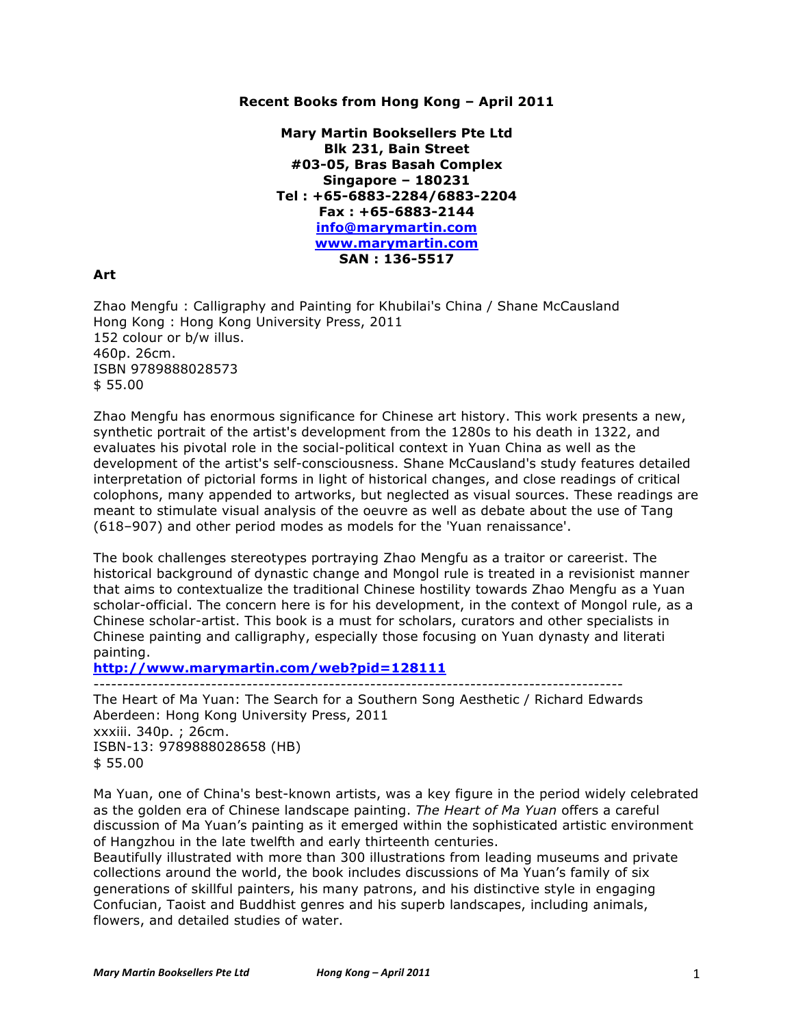# **Recent Books from Hong Kong – April 2011**

**Mary Martin Booksellers Pte Ltd Blk 231, Bain Street #03-05, Bras Basah Complex Singapore – 180231 Tel : +65-6883-2284/6883-2204 Fax : +65-6883-2144 info@marymartin.com www.marymartin.com SAN : 136-5517**

# **Art**

Zhao Mengfu : Calligraphy and Painting for Khubilai's China / Shane McCausland Hong Kong : Hong Kong University Press, 2011 152 colour or b/w illus. 460p. 26cm. ISBN 9789888028573 \$ 55.00

Zhao Mengfu has enormous significance for Chinese art history. This work presents a new, synthetic portrait of the artist's development from the 1280s to his death in 1322, and evaluates his pivotal role in the social-political context in Yuan China as well as the development of the artist's self-consciousness. Shane McCausland's study features detailed interpretation of pictorial forms in light of historical changes, and close readings of critical colophons, many appended to artworks, but neglected as visual sources. These readings are meant to stimulate visual analysis of the oeuvre as well as debate about the use of Tang (618–907) and other period modes as models for the 'Yuan renaissance'.

The book challenges stereotypes portraying Zhao Mengfu as a traitor or careerist. The historical background of dynastic change and Mongol rule is treated in a revisionist manner that aims to contextualize the traditional Chinese hostility towards Zhao Mengfu as a Yuan scholar-official. The concern here is for his development, in the context of Mongol rule, as a Chinese scholar-artist. This book is a must for scholars, curators and other specialists in Chinese painting and calligraphy, especially those focusing on Yuan dynasty and literati painting.

**http://www.marymartin.com/web?pid=128111** ------------------------------------------------------------------------------------------

The Heart of Ma Yuan: The Search for a Southern Song Aesthetic / Richard Edwards Aberdeen: Hong Kong University Press, 2011 xxxiii. 340p. ; 26cm. ISBN-13: 9789888028658 (HB) \$ 55.00

Ma Yuan, one of China's best-known artists, was a key figure in the period widely celebrated as the golden era of Chinese landscape painting. *The Heart of Ma Yuan* offers a careful discussion of Ma Yuan's painting as it emerged within the sophisticated artistic environment of Hangzhou in the late twelfth and early thirteenth centuries.

Beautifully illustrated with more than 300 illustrations from leading museums and private collections around the world, the book includes discussions of Ma Yuan's family of six generations of skillful painters, his many patrons, and his distinctive style in engaging Confucian, Taoist and Buddhist genres and his superb landscapes, including animals, flowers, and detailed studies of water.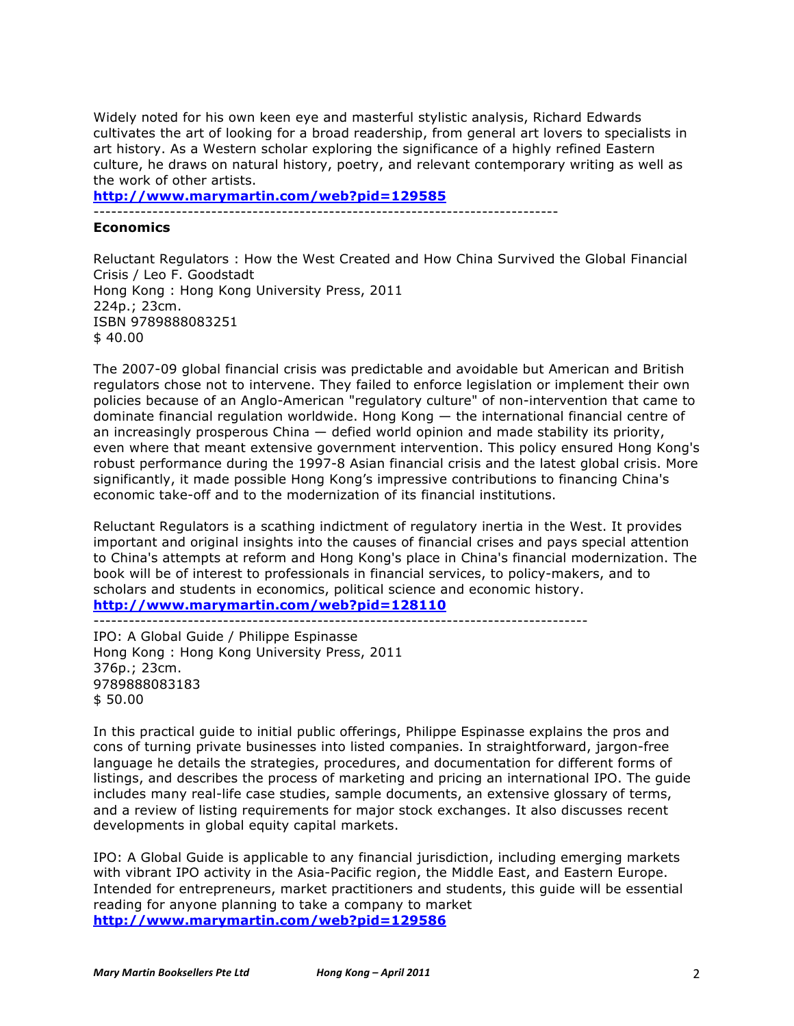Widely noted for his own keen eye and masterful stylistic analysis, Richard Edwards cultivates the art of looking for a broad readership, from general art lovers to specialists in art history. As a Western scholar exploring the significance of a highly refined Eastern culture, he draws on natural history, poetry, and relevant contemporary writing as well as the work of other artists.

**http://www.marymartin.com/web?pid=129585**

-------------------------------------------------------------------------------

# **Economics**

Reluctant Regulators : How the West Created and How China Survived the Global Financial Crisis / Leo F. Goodstadt Hong Kong : Hong Kong University Press, 2011 224p.; 23cm. ISBN 9789888083251  $$40.00$ 

The 2007-09 global financial crisis was predictable and avoidable but American and British regulators chose not to intervene. They failed to enforce legislation or implement their own policies because of an Anglo-American "regulatory culture" of non-intervention that came to dominate financial regulation worldwide. Hong Kong — the international financial centre of an increasingly prosperous China — defied world opinion and made stability its priority, even where that meant extensive government intervention. This policy ensured Hong Kong's robust performance during the 1997-8 Asian financial crisis and the latest global crisis. More significantly, it made possible Hong Kong's impressive contributions to financing China's economic take-off and to the modernization of its financial institutions.

Reluctant Regulators is a scathing indictment of regulatory inertia in the West. It provides important and original insights into the causes of financial crises and pays special attention to China's attempts at reform and Hong Kong's place in China's financial modernization. The book will be of interest to professionals in financial services, to policy-makers, and to scholars and students in economics, political science and economic history. **http://www.marymartin.com/web?pid=128110**

------------------------------------------------------------------------------------

IPO: A Global Guide / Philippe Espinasse Hong Kong : Hong Kong University Press, 2011 376p.; 23cm. 9789888083183 \$ 50.00

In this practical guide to initial public offerings, Philippe Espinasse explains the pros and cons of turning private businesses into listed companies. In straightforward, jargon-free language he details the strategies, procedures, and documentation for different forms of listings, and describes the process of marketing and pricing an international IPO. The guide includes many real-life case studies, sample documents, an extensive glossary of terms, and a review of listing requirements for major stock exchanges. It also discusses recent developments in global equity capital markets.

IPO: A Global Guide is applicable to any financial jurisdiction, including emerging markets with vibrant IPO activity in the Asia-Pacific region, the Middle East, and Eastern Europe. Intended for entrepreneurs, market practitioners and students, this guide will be essential reading for anyone planning to take a company to market **http://www.marymartin.com/web?pid=129586**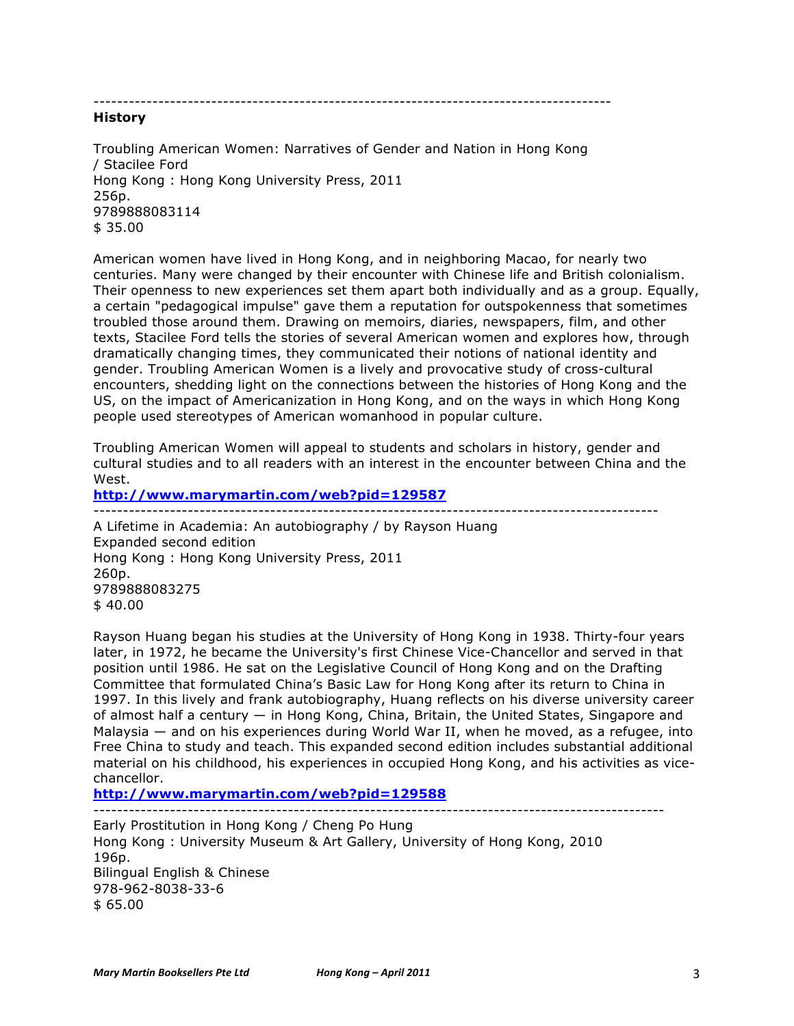----------------------------------------------------------------------------------------

## **History**

Troubling American Women: Narratives of Gender and Nation in Hong Kong / Stacilee Ford Hong Kong : Hong Kong University Press, 2011 256p. 9789888083114 \$ 35.00

American women have lived in Hong Kong, and in neighboring Macao, for nearly two centuries. Many were changed by their encounter with Chinese life and British colonialism. Their openness to new experiences set them apart both individually and as a group. Equally, a certain "pedagogical impulse" gave them a reputation for outspokenness that sometimes troubled those around them. Drawing on memoirs, diaries, newspapers, film, and other texts, Stacilee Ford tells the stories of several American women and explores how, through dramatically changing times, they communicated their notions of national identity and gender. Troubling American Women is a lively and provocative study of cross-cultural encounters, shedding light on the connections between the histories of Hong Kong and the US, on the impact of Americanization in Hong Kong, and on the ways in which Hong Kong people used stereotypes of American womanhood in popular culture.

Troubling American Women will appeal to students and scholars in history, gender and cultural studies and to all readers with an interest in the encounter between China and the West.

#### **http://www.marymartin.com/web?pid=129587** ------------------------------------------------------------------------------------------------

A Lifetime in Academia: An autobiography / by Rayson Huang Expanded second edition Hong Kong : Hong Kong University Press, 2011 260p. 9789888083275 \$ 40.00

Rayson Huang began his studies at the University of Hong Kong in 1938. Thirty-four years later, in 1972, he became the University's first Chinese Vice-Chancellor and served in that position until 1986. He sat on the Legislative Council of Hong Kong and on the Drafting Committee that formulated China's Basic Law for Hong Kong after its return to China in 1997. In this lively and frank autobiography, Huang reflects on his diverse university career of almost half a century — in Hong Kong, China, Britain, the United States, Singapore and Malaysia — and on his experiences during World War II, when he moved, as a refugee, into Free China to study and teach. This expanded second edition includes substantial additional material on his childhood, his experiences in occupied Hong Kong, and his activities as vicechancellor.

**http://www.marymartin.com/web?pid=129588** -------------------------------------------------------------------------------------------------

Early Prostitution in Hong Kong / Cheng Po Hung Hong Kong : University Museum & Art Gallery, University of Hong Kong, 2010 196p. Bilingual English & Chinese 978-962-8038-33-6 \$ 65.00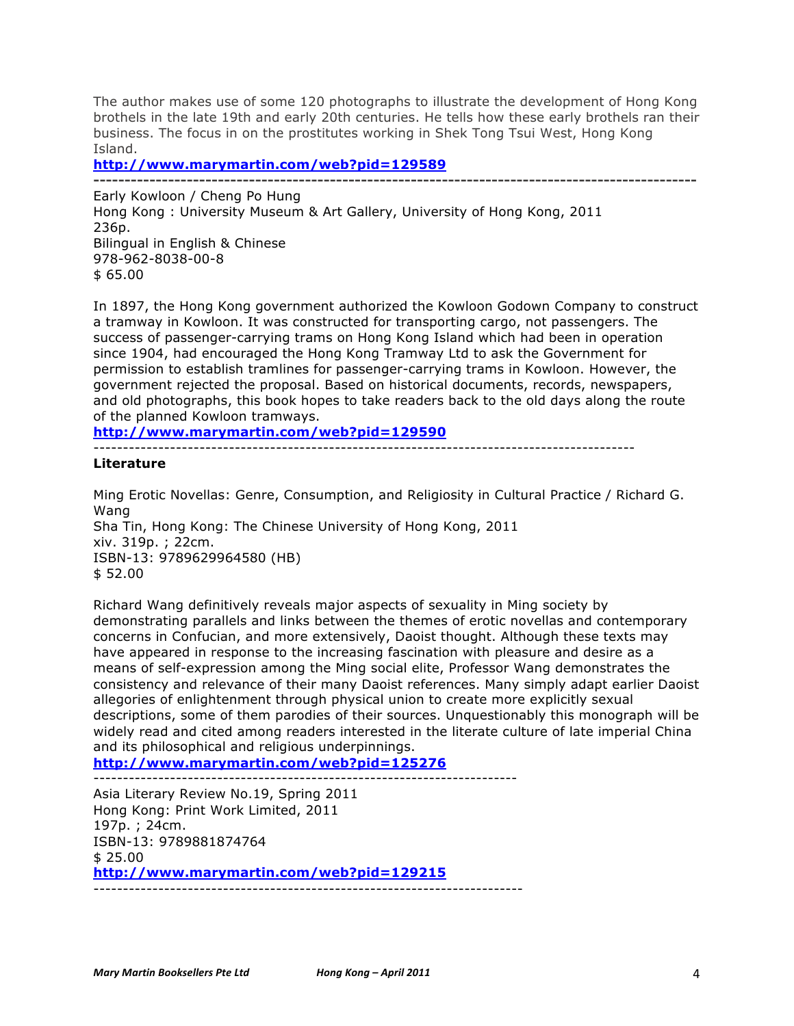The author makes use of some 120 photographs to illustrate the development of Hong Kong brothels in the late 19th and early 20th centuries. He tells how these early brothels ran their business. The focus in on the prostitutes working in Shek Tong Tsui West, Hong Kong Island.

**http://www.marymartin.com/web?pid=129589**

**-------------------------------------------------------------------------------------------------** Early Kowloon / Cheng Po Hung Hong Kong : University Museum & Art Gallery, University of Hong Kong, 2011 236p. Bilingual in English & Chinese 978-962-8038-00-8 \$ 65.00

In 1897, the Hong Kong government authorized the Kowloon Godown Company to construct a tramway in Kowloon. It was constructed for transporting cargo, not passengers. The success of passenger-carrying trams on Hong Kong Island which had been in operation since 1904, had encouraged the Hong Kong Tramway Ltd to ask the Government for permission to establish tramlines for passenger-carrying trams in Kowloon. However, the government rejected the proposal. Based on historical documents, records, newspapers, and old photographs, this book hopes to take readers back to the old days along the route of the planned Kowloon tramways.

**http://www.marymartin.com/web?pid=129590**

--------------------------------------------------------------------------------------------

**Literature**

Ming Erotic Novellas: Genre, Consumption, and Religiosity in Cultural Practice / Richard G. Wang Sha Tin, Hong Kong: The Chinese University of Hong Kong, 2011 xiv. 319p. ; 22cm. ISBN-13: 9789629964580 (HB) \$ 52.00

Richard Wang definitively reveals major aspects of sexuality in Ming society by demonstrating parallels and links between the themes of erotic novellas and contemporary concerns in Confucian, and more extensively, Daoist thought. Although these texts may have appeared in response to the increasing fascination with pleasure and desire as a means of self-expression among the Ming social elite, Professor Wang demonstrates the consistency and relevance of their many Daoist references. Many simply adapt earlier Daoist allegories of enlightenment through physical union to create more explicitly sexual descriptions, some of them parodies of their sources. Unquestionably this monograph will be widely read and cited among readers interested in the literate culture of late imperial China and its philosophical and religious underpinnings.

**http://www.marymartin.com/web?pid=125276**

------------------------------------------------------------------------

Asia Literary Review No.19, Spring 2011 Hong Kong: Print Work Limited, 2011 197p. ; 24cm. ISBN-13: 9789881874764 \$ 25.00 **http://www.marymartin.com/web?pid=129215** -------------------------------------------------------------------------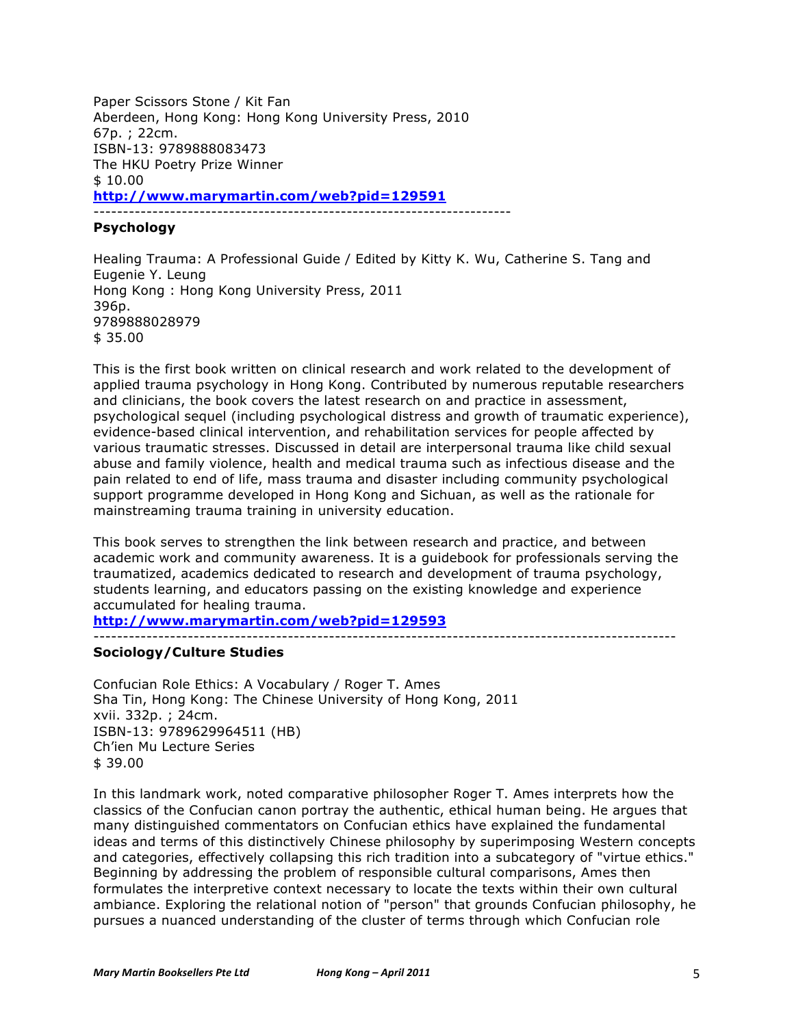Paper Scissors Stone / Kit Fan Aberdeen, Hong Kong: Hong Kong University Press, 2010 67p. ; 22cm. ISBN-13: 9789888083473 The HKU Poetry Prize Winner \$ 10.00 **http://www.marymartin.com/web?pid=129591** -----------------------------------------------------------------------

# **Psychology**

Healing Trauma: A Professional Guide / Edited by Kitty K. Wu, Catherine S. Tang and Eugenie Y. Leung Hong Kong : Hong Kong University Press, 2011 396p. 9789888028979 \$ 35.00

This is the first book written on clinical research and work related to the development of applied trauma psychology in Hong Kong. Contributed by numerous reputable researchers and clinicians, the book covers the latest research on and practice in assessment, psychological sequel (including psychological distress and growth of traumatic experience), evidence-based clinical intervention, and rehabilitation services for people affected by various traumatic stresses. Discussed in detail are interpersonal trauma like child sexual abuse and family violence, health and medical trauma such as infectious disease and the pain related to end of life, mass trauma and disaster including community psychological support programme developed in Hong Kong and Sichuan, as well as the rationale for mainstreaming trauma training in university education.

This book serves to strengthen the link between research and practice, and between academic work and community awareness. It is a guidebook for professionals serving the traumatized, academics dedicated to research and development of trauma psychology, students learning, and educators passing on the existing knowledge and experience accumulated for healing trauma.

**http://www.marymartin.com/web?pid=129593**

### ---------------------------------------------------------------------------------------------------

# **Sociology/Culture Studies**

Confucian Role Ethics: A Vocabulary / Roger T. Ames Sha Tin, Hong Kong: The Chinese University of Hong Kong, 2011 xvii. 332p. ; 24cm. ISBN-13: 9789629964511 (HB) Ch'ien Mu Lecture Series \$ 39.00

In this landmark work, noted comparative philosopher Roger T. Ames interprets how the classics of the Confucian canon portray the authentic, ethical human being. He argues that many distinguished commentators on Confucian ethics have explained the fundamental ideas and terms of this distinctively Chinese philosophy by superimposing Western concepts and categories, effectively collapsing this rich tradition into a subcategory of "virtue ethics." Beginning by addressing the problem of responsible cultural comparisons, Ames then formulates the interpretive context necessary to locate the texts within their own cultural ambiance. Exploring the relational notion of "person" that grounds Confucian philosophy, he pursues a nuanced understanding of the cluster of terms through which Confucian role